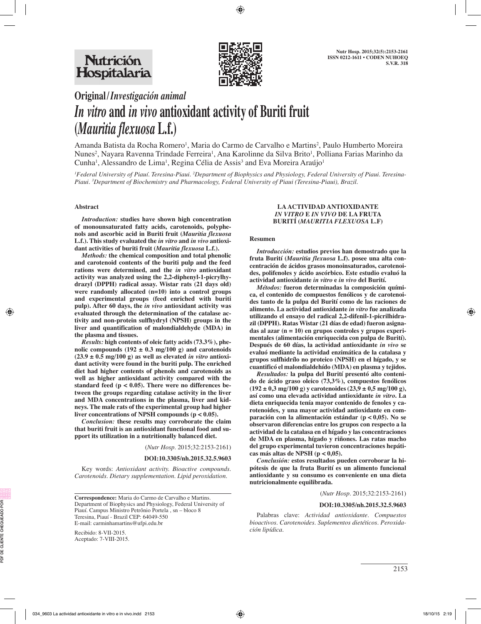

# **Original/***Investigación animal In vitro* **and** *in vivo* **antioxidant activity of Buriti fruit (***Mauritia flexuosa* **L.f.)**

Amanda Batista da Rocha Romero<sup>1</sup>, Maria do Carmo de Carvalho e Martins<sup>2</sup>, Paulo Humberto Moreira Nunes<sup>2</sup>, Nayara Ravenna Trindade Ferreira<sup>1</sup>, Ana Karolinne da Silva Brito<sup>1</sup>, Polliana Farias Marinho da Cunha<sup>1</sup>, Alessandro de Lima<sup>1</sup>, Regina Célia de Assis<sup>3</sup> and Eva Moreira Araújo<sup>1</sup>

*1 Federal University of Piauí. Teresina-Piaui. 2 Department of Biophysics and Physiology, Federal University of Piaui. Teresina-Piaui. 3 Department of Biochemistry and Pharmacology, Federal University of Piaui (Teresina-Piaui), Brazil.*

### **Abstract**

*Introduction:* **studies have shown high concentration of monounsaturated fatty acids, carotenoids, polyphenols and ascorbic acid in Buriti fruit (***Mauritia flexuosa*  **L.f.). This study evaluated the** *in vitro* **and** *in vivo* **antioxidant activities of buriti fruit (***Mauritia flexuosa* **L.f.).** 

*Methods:* **the chemical composition and total phenolic and carotenoid contents of the buriti pulp and the feed rations were determined, and the** *in vitro* **antioxidant activity was analyzed using the 2,2-diphenyl-1-picrylhydrazyl (DPPH) radical assay. Wistar rats (21 days old) were randomly allocated (n=10) into a control groups and experimental groups (feed enriched with buriti pulp). After 60 days, the** *in vivo* **antioxidant activity was evaluated through the determination of the catalase activity and non-protein sulfhydryl (NPSH) groups in the liver and quantification of malondialdehyde (MDA) in the plasma and tissues.** 

*Results:* **high contents of oleic fatty acids (73.3%), phe**nolic compounds  $(192 \pm 0.3 \text{ mg}/100 \text{ g})$  and carotenoids  $(23.9 \pm 0.5 \text{ mg}/100 \text{ g})$  as well as elevated *in vitro* antioxi**dant activity were found in the buriti pulp. The enriched diet had higher contents of phenols and carotenoids as well as higher antioxidant activity compared with the standard feed (p < 0.05). There were no differences between the groups regarding catalase activity in the liver and MDA concentrations in the plasma, liver and kidneys. The male rats of the experimental group had higher liver concentrations of NPSH compounds (p < 0.05).** 

*Conclusion:* **these results may corroborate the claim that buriti fruit is an antioxidant functional food and support its utilization in a nutritionally balanced diet.**

(*Nutr Hosp.* 2015;32:2153-2161)

#### **DOI:10.3305/nh.2015.32.5.9603**

Key words: *Antioxidant activity. Bioactive compounds. Carotenoids. Dietary supplementation. Lipid peroxidation.*

**Correspondence:** Maria do Carmo de Carvalho e Martins. Department of Biophysics and Physiology, Federal University of Piauí. Campus Ministro Petrônio Portela , sn – bloco 8 Teresina, Piauí - Brazil CEP: 64049-550 E-mail: carminhamartins@ufpi.edu.br

Recibido: 8-VII-2015. Aceptado: 7-VIII-2015.

#### **LA ACTIVIDAD ANTIOXIDANTE**  *IN VITRO* **E** *IN VIVO* **DE LA FRUTA BURITÍ (***MAURITIA FLEXUOSA* **L.F)**

#### **Resumen**

*Introducción:* **estudios previos han demostrado que la fruta Burití (***Mauritia flexuosa* **L.f). posee una alta concentración de ácidos grasos monoinsaturados, carotenoides, polifenoles y ácido ascórbico. Este estudio evaluó la actividad antioxidante** *in vitro* **e** *in vivo* **del Burití.** 

*Métodos:* **fueron determinadas la composición química, el contenido de compuestos fenólicos y de carotenoides tanto de la pulpa del Burití como de las raciones de alimento. La actividad antioxidante** *in vitro* **fue analizada utilizando el ensayo del radical 2,2-difenil-1-picrilhidrazil (DPPH). Ratas Wistar (21 días de edad) fueron asignadas al azar (n = 10) en grupos controles y grupos experimentales (alimentación enriquecida con pulpa de Burití). Después de 60 días, la actividad antioxidante** *in vivo* **se evaluó mediante la actividad enzimática de la catalasa y grupos sulfhidrílo no proteico (NPSH) en el hígado, y se cuantificó el malondialdehído (MDA) en plasma y tejidos.** 

*Resultados:* **la pulpa del Burití presentó alto contenido de ácido graso oleico (73,3%), compuestos fenólicos (192 ± 0,3 mg/100 g) y carotenoides (23,9 ± 0,5 mg/100 g), así como una elevada actividad antioxidante** *in vitro***. La dieta enriquecida tenía mayor contenido de fenoles y carotenoides, y una mayor actividad antioxidante en comparación con la alimentación estándar (p < 0,05). No se observaron diferencias entre los grupos con respecto a la actividad de la catalasa en el hígado y las concentraciones de MDA en plasma, hígado y riñones. Las ratas macho del grupo experimental tuvieron concentraciones hepáticas más altas de NPSH (p < 0,05).** 

*Conclusión:* **estos resultados pueden corroborar la hipótesis de que la fruta Burití es un alimento funcional antioxidante y su consumo es conveniente en una dieta nutricionalmente equilibrada.** 

## (*Nutr Hosp.* 2015;32:2153-2161)

#### **DOI:10.3305/nh.2015.32.5.9603**

Palabras clave: *Actividad antioxidante. Compuestos bioactivos. Carotenoides. Suplementos dietéticos. Peroxidación lipídica.*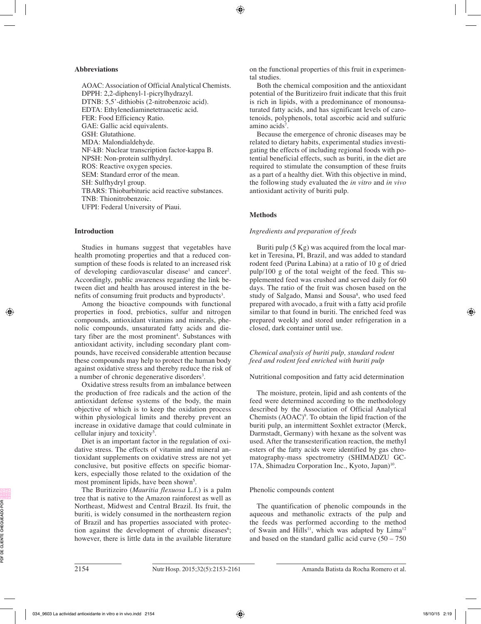# **Abbreviations**

AOAC: Association of Official Analytical Chemists. DPPH: 2,2-diphenyl-1-picrylhydrazyl. DTNB: 5,5'-dithiobis (2-nitrobenzoic acid). EDTA: Ethylenediaminetetraacetic acid. FER: Food Efficiency Ratio. GAE: Gallic acid equivalents. GSH: Glutathione. MDA: Malondialdehyde. NF-kB: Nuclear transcription factor-kappa B. NPSH: Non-protein sulfhydryl. ROS: Reactive oxygen species. SEM: Standard error of the mean. SH: Sulfhydryl group. TBARS: Thiobarbituric acid reactive substances. TNB: Thionitrobenzoic. UFPI: Federal University of Piaui.

# **Introduction**

Studies in humans suggest that vegetables have health promoting properties and that a reduced consumption of these foods is related to an increased risk of developing cardiovascular disease<sup>1</sup> and cancer<sup>2</sup>. Accordingly, public awareness regarding the link between diet and health has aroused interest in the benefits of consuming fruit products and byproducts<sup>3</sup>.

Among the bioactive compounds with functional properties in food, prebiotics, sulfur and nitrogen compounds, antioxidant vitamins and minerals, phenolic compounds, unsaturated fatty acids and dietary fiber are the most prominent<sup>4</sup>. Substances with antioxidant activity, including secondary plant compounds, have received considerable attention because these compounds may help to protect the human body against oxidative stress and thereby reduce the risk of a number of chronic degenerative disorders<sup>3</sup>.

Oxidative stress results from an imbalance between the production of free radicals and the action of the antioxidant defense systems of the body, the main objective of which is to keep the oxidation process within physiological limits and thereby prevent an increase in oxidative damage that could culminate in cellular injury and toxicity5 .

Diet is an important factor in the regulation of oxidative stress. The effects of vitamin and mineral antioxidant supplements on oxidative stress are not yet conclusive, but positive effects on specific biomarkers, especially those related to the oxidation of the most prominent lipids, have been shown<sup>5</sup>.

The Buritizeiro (*Mauritia flexuosa* L.f.) is a palm tree that is native to the Amazon rainforest as well as Northeast, Midwest and Central Brazil. Its fruit, the buriti, is widely consumed in the northeastern region of Brazil and has properties associated with protection against the development of chronic diseases<sup>6</sup>; however, there is little data in the available literature

on the functional properties of this fruit in experimental studies.

Both the chemical composition and the antioxidant potential of the Buritizeiro fruit indicate that this fruit is rich in lipids, with a predominance of monounsaturated fatty acids, and has significant levels of carotenoids, polyphenols, total ascorbic acid and sulfuric amino acids<sup>7</sup>.

Because the emergence of chronic diseases may be related to dietary habits, experimental studies investigating the effects of including regional foods with potential beneficial effects, such as buriti, in the diet are required to stimulate the consumption of these fruits as a part of a healthy diet. With this objective in mind, the following study evaluated the *in vitro* and *in vivo*  antioxidant activity of buriti pulp.

# **Methods**

# *Ingredients and preparation of feeds*

Buriti pulp (5 Kg) was acquired from the local market in Teresina, PI, Brazil, and was added to standard rodent feed (Purina Labina) at a ratio of 10 g of dried pulp/100 g of the total weight of the feed. This supplemented feed was crushed and served daily for 60 days. The ratio of the fruit was chosen based on the study of Salgado, Mansi and Sousa<sup>8</sup>, who used feed prepared with avocado, a fruit with a fatty acid profile similar to that found in buriti. The enriched feed was prepared weekly and stored under refrigeration in a closed, dark container until use.

# *Chemical analysis of buriti pulp, standard rodent feed and rodent feed enriched with buriti pulp*

# Nutritional composition and fatty acid determination

The moisture, protein, lipid and ash contents of the feed were determined according to the methodology described by the Association of Official Analytical Chemists  $(AOAC)^9$ . To obtain the lipid fraction of the buriti pulp, an intermittent Soxhlet extractor (Merck, Darmstadt, Germany) with hexane as the solvent was used. After the transesterification reaction, the methyl esters of the fatty acids were identified by gas chromatography-mass spectrometry (SHIMADZU GC-17A, Shimadzu Corporation Inc., Kyoto, Japan)<sup>10</sup>.

# Phenolic compounds content

The quantification of phenolic compounds in the aqueous and methanolic extracts of the pulp and the feeds was performed according to the method of Swain and Hills<sup>11</sup>, which was adapted by Lima<sup>12</sup> and based on the standard gallic acid curve  $(50 - 750)$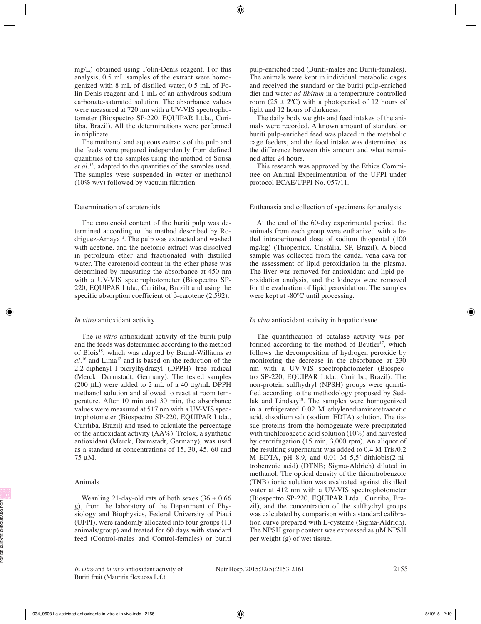mg/L) obtained using Folin-Denis reagent. For this analysis, 0.5 mL samples of the extract were homogenized with 8 mL of distilled water, 0.5 mL of Folin-Denis reagent and 1 mL of an anhydrous sodium carbonate-saturated solution. The absorbance values were measured at 720 nm with a UV-VIS spectrophotometer (Biospectro SP-220, EQUIPAR Ltda., Curitiba, Brazil). All the determinations were performed in triplicate.

The methanol and aqueous extracts of the pulp and the feeds were prepared independently from defined quantities of the samples using the method of Sousa *et al.*13, adapted to the quantities of the samples used. The samples were suspended in water or methanol (10% w/v) followed by vacuum filtration.

# Determination of carotenoids

The carotenoid content of the buriti pulp was determined according to the method described by Rodriguez-Amaya14. The pulp was extracted and washed with acetone, and the acetonic extract was dissolved in petroleum ether and fractionated with distilled water. The carotenoid content in the ether phase was determined by measuring the absorbance at 450 nm with a UV-VIS spectrophotometer (Biospectro SP-220, EQUIPAR Ltda., Curitiba, Brazil) and using the specific absorption coefficient of β-carotene (2,592).

# *In vitro* antioxidant activity

The *in vitro* antioxidant activity of the buriti pulp and the feeds was determined according to the method of Blois15, which was adapted by Brand-Williams *et al.*16 and Lima12 and is based on the reduction of the 2,2-diphenyl-1-picrylhydrazyl (DPPH) free radical (Merck, Darmstadt, Germany). The tested samples (200 µL) were added to 2 mL of a 40 µ*g*/mL DPPH methanol solution and allowed to react at room temperature. After 10 min and 30 min, the absorbance values were measured at 517 nm with a UV-VIS spectrophotometer (Biospectro SP-220, EQUIPAR Ltda., Curitiba, Brazil) and used to calculate the percentage of the antioxidant activity (AA%). Trolox, a synthetic antioxidant (Merck, Darmstadt, Germany), was used as a standard at concentrations of 15, 30, 45, 60 and 75 µM.

# Animals

Weanling 21-day-old rats of both sexes  $(36 \pm 0.66)$ g), from the laboratory of the Department of Physiology and Biophysics, Federal University of Piaui (UFPI), were randomly allocated into four groups (10 animals/group) and treated for 60 days with standard feed (Control-males and Control-females) or buriti pulp-enriched feed (Buriti-males and Buriti-females). The animals were kept in individual metabolic cages and received the standard or the buriti pulp-enriched diet and water *ad libitum* in a temperature-controlled room (25  $\pm$  2°C) with a photoperiod of 12 hours of light and 12 hours of darkness.

The daily body weights and feed intakes of the animals were recorded. A known amount of standard or buriti pulp-enriched feed was placed in the metabolic cage feeders, and the food intake was determined as the difference between this amount and what remained after 24 hours.

This research was approved by the Ethics Committee on Animal Experimentation of the UFPI under protocol ECAE/UFPI No. 057/11.

# Euthanasia and collection of specimens for analysis

At the end of the 60-day experimental period, the animals from each group were euthanized with a lethal intraperitoneal dose of sodium thiopental (100 mg/kg) (Thiopentax, Cristália, SP, Brazil). A blood sample was collected from the caudal vena cava for the assessment of lipid peroxidation in the plasma. The liver was removed for antioxidant and lipid peroxidation analysis, and the kidneys were removed for the evaluation of lipid peroxidation. The samples were kept at -80ºC until processing.

# *In vivo* antioxidant activity in hepatic tissue

The quantification of catalase activity was performed according to the method of Beutler<sup>17</sup>, which follows the decomposition of hydrogen peroxide by monitoring the decrease in the absorbance at 230 nm with a UV-VIS spectrophotometer (Biospectro SP-220, EQUIPAR Ltda., Curitiba, Brazil). The non-protein sulfhydryl (NPSH) groups were quantified according to the methodology proposed by Sedlak and Lindsay<sup>18</sup>. The samples were homogenized in a refrigerated 0.02 M ethylenediaminetetraacetic acid, disodium salt (sodium EDTA) solution. The tissue proteins from the homogenate were precipitated with trichloroacetic acid solution (10%) and harvested by centrifugation (15 min, 3,000 rpm). An aliquot of the resulting supernatant was added to 0.4 M Tris/0.2 M EDTA, pH 8.9, and 0.01 M 5,5'-dithiobis(2-nitrobenzoic acid) (DTNB; Sigma-Aldrich) diluted in methanol. The optical density of the thionitrobenzoic (TNB) ionic solution was evaluated against distilled water at 412 nm with a UV-VIS spectrophotometer (Biospectro SP-220, EQUIPAR Ltda., Curitiba, Brazil), and the concentration of the sulfhydryl groups was calculated by comparison with a standard calibration curve prepared with L-cysteine (Sigma-Aldrich). The NPSH group content was expressed as  $\mu$ M NPSH per weight (g) of wet tissue.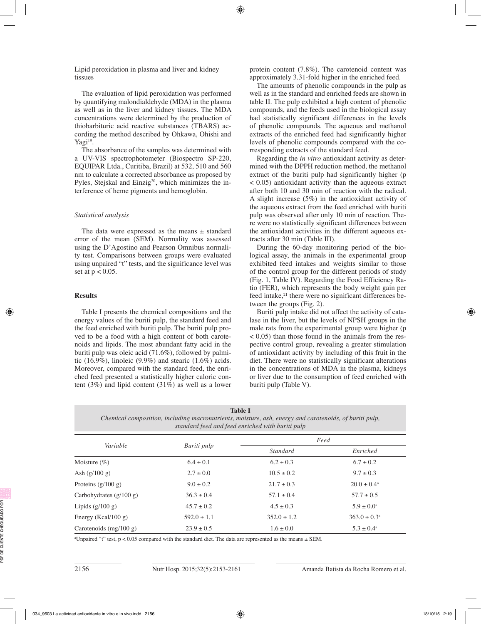Lipid peroxidation in plasma and liver and kidney tissues

The evaluation of lipid peroxidation was performed by quantifying malondialdehyde (MDA) in the plasma as well as in the liver and kidney tissues. The MDA concentrations were determined by the production of thiobarbituric acid reactive substances (TBARS) according the method described by Ohkawa, Ohishi and Yagi<sup>19</sup>.

The absorbance of the samples was determined with a UV-VIS spectrophotometer (Biospectro SP-220, EQUIPAR Ltda., Curitiba, Brazil) at 532, 510 and 560 nm to calculate a corrected absorbance as proposed by Pyles, Stejskal and Einzig<sup>20</sup>, which minimizes the interference of heme pigments and hemoglobin.

## *Statistical analysis*

The data were expressed as the means  $\pm$  standard error of the mean (SEM). Normality was assessed using the D'Agostino and Pearson Omnibus normality test. Comparisons between groups were evaluated using unpaired "t" tests, and the significance level was set at  $p < 0.05$ .

## **Results**

Table I presents the chemical compositions and the energy values of the buriti pulp, the standard feed and the feed enriched with buriti pulp. The buriti pulp proved to be a food with a high content of both carotenoids and lipids. The most abundant fatty acid in the buriti pulp was oleic acid (71.6%), followed by palmitic  $(16.9\%)$ , linoleic  $(9.9\%)$  and stearic  $(1.6\%)$  acids. Moreover, compared with the standard feed, the enriched feed presented a statistically higher caloric content (3%) and lipid content (31%) as well as a lower protein content (7.8%). The carotenoid content was approximately 3.31-fold higher in the enriched feed.

The amounts of phenolic compounds in the pulp as well as in the standard and enriched feeds are shown in table II. The pulp exhibited a high content of phenolic compounds, and the feeds used in the biological assay had statistically significant differences in the levels of phenolic compounds. The aqueous and methanol extracts of the enriched feed had significantly higher levels of phenolic compounds compared with the corresponding extracts of the standard feed.

Regarding the *in vitro* antioxidant activity as determined with the DPPH reduction method, the methanol extract of the buriti pulp had significantly higher (p < 0.05) antioxidant activity than the aqueous extract after both 10 and 30 min of reaction with the radical. A slight increase (5%) in the antioxidant activity of the aqueous extract from the feed enriched with buriti pulp was observed after only 10 min of reaction. There were no statistically significant differences between the antioxidant activities in the different aqueous extracts after 30 min (Table III).

During the 60-day monitoring period of the biological assay, the animals in the experimental group exhibited feed intakes and weights similar to those of the control group for the different periods of study (Fig. 1, Table IV). Regarding the Food Efficiency Ratio (FER), which represents the body weight gain per feed intake,<sup>21</sup> there were no significant differences between the groups (Fig. 2).

Buriti pulp intake did not affect the activity of catalase in the liver, but the levels of NPSH groups in the male rats from the experimental group were higher (p < 0.05) than those found in the animals from the respective control group, revealing a greater stimulation of antioxidant activity by including of this fruit in the diet. There were no statistically significant alterations in the concentrations of MDA in the plasma, kidneys or liver due to the consumption of feed enriched with buriti pulp (Table V).

|                           | standard feed and feed enriched with buriti pulp | Chemical composition, including macronutrients, moisture, ash, energy and carotenoids, of buriti pulp, |                        |  |  |  |  |
|---------------------------|--------------------------------------------------|--------------------------------------------------------------------------------------------------------|------------------------|--|--|--|--|
| Variable                  |                                                  |                                                                                                        | Feed                   |  |  |  |  |
|                           | Buriti pulp                                      | Standard                                                                                               | Enriched               |  |  |  |  |
| Moisture $(\%)$           | $6.4 \pm 0.1$                                    | $6.2 \pm 0.3$                                                                                          | $6.7 \pm 0.2$          |  |  |  |  |
| Ash $(g/100 g)$           | $2.7 \pm 0.0$                                    | $10.5 \pm 0.2$                                                                                         | $9.7 \pm 0.3$          |  |  |  |  |
| Proteins $(g/100 g)$      | $9.0 \pm 0.2$                                    | $21.7 \pm 0.3$                                                                                         | $20.0 \pm 0.4^{\circ}$ |  |  |  |  |
| Carbohydrates $(g/100 g)$ | $36.3 \pm 0.4$                                   | $57.1 \pm 0.4$                                                                                         | $57.7 \pm 0.5$         |  |  |  |  |
| Lipids $(g/100 g)$        | $45.7 \pm 0.2$                                   | $4.5 \pm 0.3$                                                                                          | $5.9 \pm 0.0^{\rm a}$  |  |  |  |  |
|                           |                                                  |                                                                                                        |                        |  |  |  |  |

Energy (Kcal/100 g) 592.0 ± 1.1  $352.0 \pm 1.2$   $363.0 \pm 0.3$ <sup>a</sup> Carotenoids  $(mg/100 g)$  23.9 ± 0.5 1.6 ± 0.0 5.3 ± 0.4a

**Table I**

a Unpaired "t" test, p < 0.05 compared with the standard diet. The data are represented as the means ± SEM.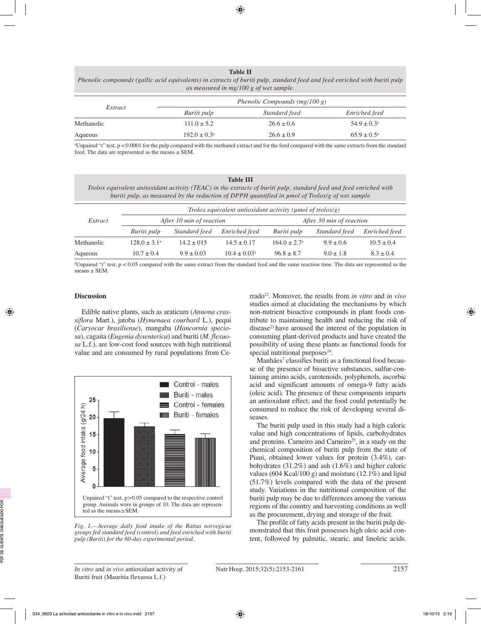#### **Table II**

*Phenolic compounds (gallic acid equivalents) in extracts of buriti pulp, standard feed and feed enriched with buriti pulp as measured in mg/100 g of wet sample.*

|            |                         | Phenolic Compounds $(mg/100 g)$ |                        |
|------------|-------------------------|---------------------------------|------------------------|
| Extract    | Buriti pulp             | Standard feed                   | Enriched feed          |
| Methanolic | $111.0 \pm 5.2$         | $26.6 \pm 0.6$                  | $54.9 \pm 0.3^{\circ}$ |
| Aqueous    | $192.0 \pm 0.3^{\circ}$ | $26.6 \pm 0.9$                  | $65.9 \pm 0.5^{\circ}$ |

a Unpaired "t" test, p < 0.0001 for the pulp compared with the methanol extract and for the feed compared with the same extracts from the standard feed. The data are represented as the means ± SEM.

| <b>Table III</b>                                                                                                   |
|--------------------------------------------------------------------------------------------------------------------|
| Trolox equivalent antioxidant activity (TEAC) in the extracts of buriti pulp, standard feed and feed enriched with |
| buriti pulp, as measured by the reduction of DPPH quantified in umol of Trolox/g of wet sample                     |

|            |                          | Trolox equivalent antioxidant activity ( $\mu$ mol of trolox/g) |                         |                          |               |                |  |
|------------|--------------------------|-----------------------------------------------------------------|-------------------------|--------------------------|---------------|----------------|--|
| Extract    | After 10 min of reaction |                                                                 |                         | After 30 min of reaction |               |                |  |
|            | Buriti pulp              | Standard feed                                                   | Enriched feed           | Buriti pulp              | Standard feed | Enriched feed  |  |
| Methanolic | $128.0 \pm 3.1^{\circ}$  | $14.2 + 015$                                                    | $14.5 \pm 0.17$         | $164.0 + 2.7a$           | $9.9 + 0.6$   | $10.5 \pm 0.4$ |  |
| Aqueous    | $10.7 \pm 0.4$           | $9.9 \pm 0.03$                                                  | $10.4 \pm 0.03^{\circ}$ | $96.8 \pm 8.7$           | $9.0 \pm 1.8$ | $8.3 \pm 0.4$  |  |

a Unpaired "t" test, p < 0.05 compared with the same extract from the standard feed and the same reaction time. The data are represented as the means ± SEM.

## **Discussion**

Edible native plants, such as araticum (*Annona crassiflora* Mart.), jatoba (*Hymenaea courbaril* L.), pequi (*Caryocar brasiliense*), mangaba (*Hancornia speciosa*), cagaita (*Eugenia dysenterica*) and buriti (*M. flexuosa* L.f.), are low-cost food sources with high nutritional value and are consumed by rural populations from Ce-



*Fig. 1.—Average daily food intake of the Rattus norvegicus groups fed standard feed (control) and feed enriched with buriti pulp (Buriti) for the 60-day experimental period.*

rrado22. Moreover, the results from *in vitro* and *in vivo* studies aimed at elucidating the mechanisms by which non-nutrient bioactive compounds in plant foods contribute to maintaining health and reducing the risk of disease<sup>23</sup> have aroused the interest of the population in consuming plant-derived products and have created the possibility of using these plants as functional foods for special nutritional purposes $24$ .

Manhães<sup>7</sup> classifies buriti as a functional food because of the presence of bioactive substances, sulfur-containing amino acids, carotenoids, polyphenols, ascorbic acid and significant amounts of omega-9 fatty acids (oleic acid). The presence of these components imparts an antioxidant effect, and the food could potentially be consumed to reduce the risk of developing several diseases.

The buriti pulp used in this study had a high caloric value and high concentrations of lipids, carbohydrates and proteins. Carneiro and Carneiro<sup>25</sup>, in a study on the chemical composition of buriti pulp from the state of Piaui, obtained lower values for protein (3.4%), carbohydrates (31.2%) and ash (1.6%) and higher caloric values (604 Kcal/100 g) and moisture (12.1%) and lipid (51.7%) levels compared with the data of the present study. Variations in the nutritional composition of the buriti pulp may be due to differences among the various regions of the country and harvesting conditions as well as the procurement, drying and storage of the fruit.

The profile of fatty acids present in the buriti pulp demonstrated that this fruit possesses high oleic acid content, followed by palmitic, stearic, and linoleic acids.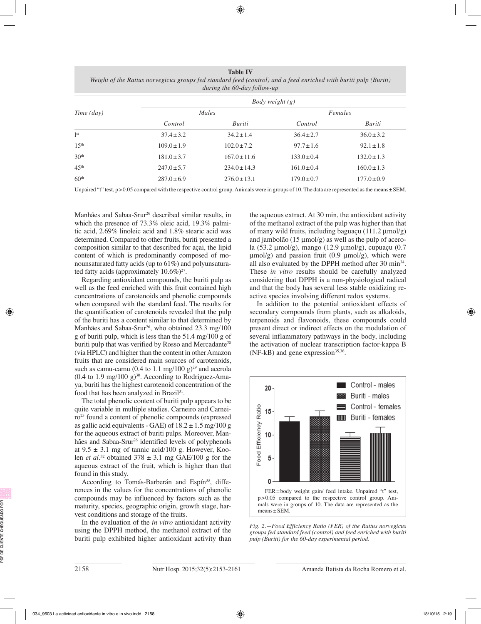**Table IV** *Weight of the Rattus norvegicus groups fed standard feed (control) and a feed enriched with buriti pulp (Buriti) during the 60-day follow-up*

|                   |                 | <i>Body weight</i> $(g)$ |                 |                 |  |  |
|-------------------|-----------------|--------------------------|-----------------|-----------------|--|--|
| Time (day)        |                 | Males                    | Females         |                 |  |  |
|                   | Control         | Buriti                   | Control         | Buriti          |  |  |
| <sup>1st</sup>    | $37.4 \pm 3.2$  | $34.2 \pm 1.4$           | $36.4 \pm 2.7$  | $36.0 \pm 3.2$  |  |  |
| 1.5 <sup>th</sup> | $109.0 \pm 1.9$ | $102.0 \pm 7.2$          | $97.7 \pm 1.6$  | $92.1 \pm 1.8$  |  |  |
| 30 <sup>th</sup>  | $181.0 \pm 3.7$ | $167.0 \pm 11.6$         | $133.0 \pm 0.4$ | $132.0 \pm 1.3$ |  |  |
| 45 <sup>th</sup>  | $247.0 \pm 5.7$ | $234.0 \pm 14.3$         | $161.0 \pm 0.4$ | $160.0 \pm 1.3$ |  |  |
| 60 <sup>th</sup>  | $287.0 \pm 6.9$ | $276.0 \pm 13.1$         | $179.0 \pm 0.7$ | $177.0 \pm 0.9$ |  |  |

Unpaired "t" test,  $p > 0.05$  compared with the respective control group. Animals were in groups of 10. The data are represented as the means  $\pm$  SEM.

Manhães and Sabaa-Srur<sup>26</sup> described similar results, in which the presence of 73.3% oleic acid, 19.3% palmitic acid, 2.69% linoleic acid and 1.8% stearic acid was determined. Compared to other fruits, buriti presented a composition similar to that described for açai, the lipid content of which is predominantly composed of monounsaturated fatty acids (up to 61%) and polyunsaturated fatty acids (approximately  $10.6\%$ )<sup>27</sup>.

Regarding antioxidant compounds, the buriti pulp as well as the feed enriched with this fruit contained high concentrations of carotenoids and phenolic compounds when compared with the standard feed. The results for the quantification of carotenoids revealed that the pulp of the buriti has a content similar to that determined by Manhães and Sabaa-Srur<sup>26</sup>, who obtained 23.3 mg/100 g of buriti pulp, which is less than the 51.4 mg/100 g of buriti pulp that was verified by Rosso and Mercadante<sup>28</sup> (via HPLC) and higher than the content in other Amazon fruits that are considered main sources of carotenoids, such as camu-camu (0.4 to 1.1 mg/100 g)<sup>29</sup> and acerola  $(0.4 \text{ to } 1.9 \text{ mg}/100 \text{ g})^{30}$ . According to Rodriguez-Amaya, buriti has the highest carotenoid concentration of the food that has been analyzed in Brazil<sup>31</sup>.

The total phenolic content of buriti pulp appears to be quite variable in multiple studies. Carneiro and Carneiro25 found a content of phenolic compounds (expressed as gallic acid equivalents - GAE) of  $18.2 \pm 1.5$  mg/100 g for the aqueous extract of buriti pulps. Moreover, Manhães and Sabaa-Srur<sup>26</sup> identified levels of polyphenols at  $9.5 \pm 3.1$  mg of tannic acid/100 g. However, Koolen *et al.*<sup>32</sup> obtained  $378 \pm 3.1$  mg GAE/100 g for the aqueous extract of the fruit, which is higher than that found in this study.

According to Tomás-Barberán and Espín<sup>33</sup>, differences in the values for the concentrations of phenolic compounds may be influenced by factors such as the maturity, species, geographic origin, growth stage, harvest conditions and storage of the fruits.

In the evaluation of the *in vitro* antioxidant activity using the DPPH method, the methanol extract of the buriti pulp exhibited higher antioxidant activity than the aqueous extract. At 30 min, the antioxidant activity of the methanol extract of the pulp was higher than that of many wild fruits, including baguaçu  $(111.2 \,\text{µmol/g})$ and jambolão (15  $\mu$ mol/g) as well as the pulp of acerola (53.2 µmol/g), mango (12.9 µmol/g), cupuaçu (0.7  $\mu$ mol/g) and passion fruit (0.9  $\mu$ mol/g), which were all also evaluated by the DPPH method after 30 min34. These *in vitro* results should be carefully analyzed considering that DPPH is a non-physiological radical and that the body has several less stable oxidizing reactive species involving different redox systems.

In addition to the potential antioxidant effects of secondary compounds from plants, such as alkaloids, terpenoids and flavonoids, these compounds could present direct or indirect effects on the modulation of several inflammatory pathways in the body, including the activation of nuclear transcription factor-kappa B  $(NF-kB)$  and gene expression<sup>35,36</sup>.



*Fig. 2.—Food Efficiency Ratio (FER) of the Rattus norvegicus groups fed standard feed (control) and feed enriched with buriti pulp (Buriti) for the 60-day experimental period.*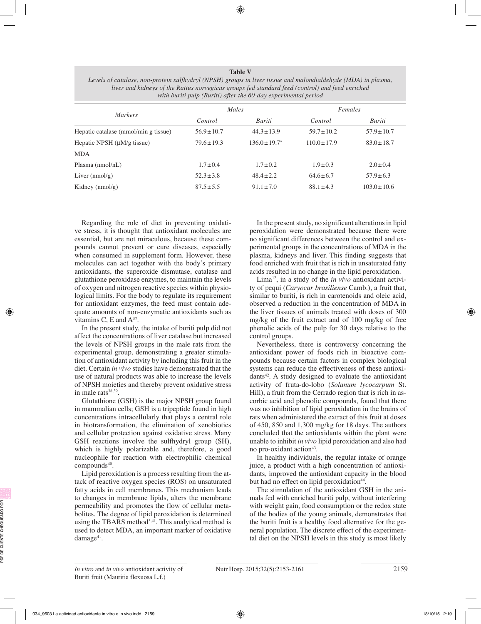**Table V** *Levels of catalase, non-protein sulfhydryl (NPSH) groups in liver tissue and malondialdehyde (MDA) in plasma, liver and kidneys of the Rattus norvegicus groups fed standard feed (control) and feed enriched with buriti pulp (Buriti) after the 60-day experimental period*

|                                      | Males           |                             | Females          |                  |
|--------------------------------------|-----------------|-----------------------------|------------------|------------------|
| <b>Markers</b>                       | Control         | Buriti                      | Control          | Buriti           |
| Hepatic catalase (mmol/min g tissue) | $56.9 \pm 10.7$ | $44.3 \pm 13.9$             | $59.7 \pm 10.2$  | $57.9 \pm 10.7$  |
| Hepatic NPSH $(\mu M/g$ tissue)      | $79.6 \pm 19.3$ | $136.0 \pm 19.7^{\text{a}}$ | $110.0 \pm 17.9$ | $83.0 \pm 18.7$  |
| <b>MDA</b>                           |                 |                             |                  |                  |
| Plasma $(nmol/nL)$                   | $1.7 \pm 0.4$   | $1.7 \pm 0.2$               | $1.9 \pm 0.3$    | $2.0 \pm 0.4$    |
| Liver $(nmol/g)$                     | $52.3 \pm 3.8$  | $48.4 \pm 2.2$              | $64.6 \pm 6.7$   | $57.9 \pm 6.3$   |
| Kidney $(mnol/g)$                    | $87.5 \pm 5.5$  | $91.1 \pm 7.0$              | $88.1 \pm 4.3$   | $103.0 \pm 10.6$ |

Regarding the role of diet in preventing oxidative stress, it is thought that antioxidant molecules are essential, but are not miraculous, because these compounds cannot prevent or cure diseases, especially when consumed in supplement form. However, these molecules can act together with the body's primary antioxidants, the superoxide dismutase, catalase and glutathione peroxidase enzymes, to maintain the levels of oxygen and nitrogen reactive species within physiological limits. For the body to regulate its requirement for antioxidant enzymes, the feed must contain adequate amounts of non-enzymatic antioxidants such as vitamins C, E and  $A^{37}$ .

In the present study, the intake of buriti pulp did not affect the concentrations of liver catalase but increased the levels of NPSH groups in the male rats from the experimental group, demonstrating a greater stimulation of antioxidant activity by including this fruit in the diet. Certain *in vivo* studies have demonstrated that the use of natural products was able to increase the levels of NPSH moieties and thereby prevent oxidative stress in male rats<sup>38,39</sup>.

Glutathione (GSH) is the major NPSH group found in mammalian cells; GSH is a tripeptide found in high concentrations intracellularly that plays a central role in biotransformation, the elimination of xenobiotics and cellular protection against oxidative stress. Many GSH reactions involve the sulfhydryl group (SH), which is highly polarizable and, therefore, a good nucleophile for reaction with electrophilic chemical compounds<sup>40</sup>.

Lipid peroxidation is a process resulting from the attack of reactive oxygen species (ROS) on unsaturated fatty acids in cell membranes. This mechanism leads to changes in membrane lipids, alters the membrane permeability and promotes the flow of cellular metabolites. The degree of lipid peroxidation is determined using the TBARS method<sup>5,41</sup>. This analytical method is used to detect MDA, an important marker of oxidative damage<sup>41</sup>.

In the present study, no significant alterations in lipid peroxidation were demonstrated because there were no significant differences between the control and experimental groups in the concentrations of MDA in the plasma, kidneys and liver. This finding suggests that food enriched with fruit that is rich in unsaturated fatty acids resulted in no change in the lipid peroxidation.

Lima12, in a study of the *in vivo* antioxidant activity of pequi (*Caryocar brasiliense* Camb.), a fruit that, similar to buriti, is rich in carotenoids and oleic acid, observed a reduction in the concentration of MDA in the liver tissues of animals treated with doses of 300 mg/kg of the fruit extract and of 100 mg/kg of free phenolic acids of the pulp for 30 days relative to the control groups.

Nevertheless, there is controversy concerning the antioxidant power of foods rich in bioactive compounds because certain factors in complex biological systems can reduce the effectiveness of these antioxi $dants<sup>42</sup>$ . A study designed to evaluate the antioxidant activity of fruta-do-lobo (*Solanum lycocarpum* St. Hill), a fruit from the Cerrado region that is rich in ascorbic acid and phenolic compounds, found that there was no inhibition of lipid peroxidation in the brains of rats when administered the extract of this fruit at doses of 450, 850 and 1,300 mg/kg for 18 days. The authors concluded that the antioxidants within the plant were unable to inhibit *in vivo* lipid peroxidation and also had no pro-oxidant action<sup>43</sup>.

In healthy individuals, the regular intake of orange juice, a product with a high concentration of antioxidants, improved the antioxidant capacity in the blood but had no effect on lipid peroxidation<sup>44</sup>.

The stimulation of the antioxidant GSH in the animals fed with enriched buriti pulp, without interfering with weight gain, food consumption or the redox state of the bodies of the young animals, demonstrates that the buriti fruit is a healthy food alternative for the general population. The discrete effect of the experimental diet on the NPSH levels in this study is most likely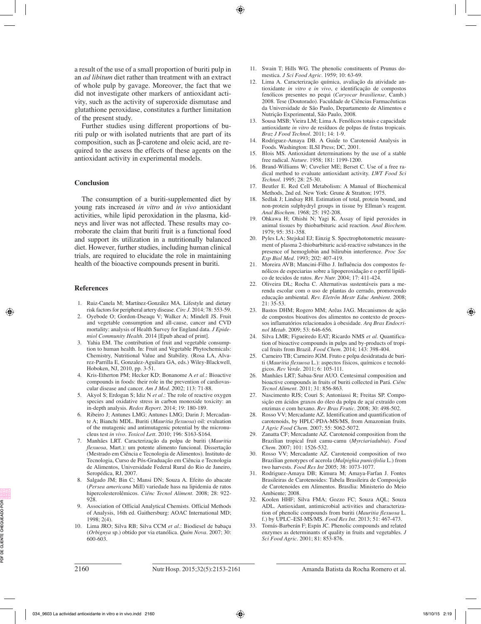a result of the use of a small proportion of buriti pulp in an *ad libitum* diet rather than treatment with an extract of whole pulp by gavage. Moreover, the fact that we did not investigate other markers of antioxidant activity, such as the activity of superoxide dismutase and glutathione peroxidase, constitutes a further limitation of the present study.

Further studies using different proportions of buriti pulp or with isolated nutrients that are part of its composition, such as β-carotene and oleic acid, are required to the assess the effects of these agents on the antioxidant activity in experimental models.

### **Conclusion**

The consumption of a buriti-supplemented diet by young rats increased *in vitro* and *in vivo* antioxidant activities, while lipid peroxidation in the plasma, kidneys and liver was not affected. These results may corroborate the claim that buriti fruit is a functional food and support its utilization in a nutritionally balanced diet. However, further studies, including human clinical trials, are required to elucidate the role in maintaining health of the bioactive compounds present in buriti.

## **References**

- 1. Ruiz-Canela M; Martínez-González MA. Lifestyle and dietary risk factors for peripheral artery disease. *Circ J*. 2014; 78: 553-59.
- 2. Oyebode O; Gordon-Dseaqu V; Walker A; Mindell JS. Fruit and vegetable consumption and all-cause, cancer and CVD mortality: analysis of Health Survey for England data. *J Epidemiol Community Health.* 2014 [Epub ahead of print].
- 3. Yahia EM. The contribution of fruit and vegetable consumption to human health. In: Fruit and Vegetable Phytochemicals: Chemistry, Nutritional Value and Stability. (Rosa LA, Alvarez-Parrilla E, Gonzalez-Aguilara GA, eds.) Wiley-Blackwell, Hoboken, NJ, 2010, pp. 3-51.
- 4. Kris-Etherton PM; Hecker KD; Bonanome A *et al.*: Bioactive compounds in foods: their role in the prevention of cardiovascular disease and cancer. *Am J Med. 2*002; 113: 71-88.
- 5. Akyol S; Erdogan S; Idiz N *et al.*: The role of reactive oxygen species and oxidative stress in carbon monoxide toxicity: an in-depth analysis. *Redox Report.* 2014; 19: 180-189.
- 6. Ribeiro J; Antunes LMG; Antunes LMG; Darin J; Mercadante A; Bianchi MDL. Buriti (*Mauritia flexuosa*) oil: evaluation of the mutagenic and antimutagenic potential by the micronucleus test *in vivo*. *Toxicol Lett.* 2010; 196: S163-S164.
- 7. Manhães LRT. Caracterização da polpa de buriti (*Mauritia flexuosa*, Mart.): um potente alimento funcional. Dissertação (Mestrado em Ciência e Tecnologia de Alimentos). Instituto de Tecnologia, Curso de Pós-Graduação em Ciência e Tecnologia de Alimentos, Universidade Federal Rural do Rio de Janeiro, Seropédica, RJ, 2007.
- 8. Salgado JM; Bin C; Mansi DN; Souza A. Efeito do abacate (*Persea americana* Mill) variedade hass na lipidemia de ratos hipercolesterolêmicos. *Ciênc Tecnol Aliment.* 2008; 28: 922- 928.
- 9. Association of Official Analytical Chemists. Official Methods of Analysis, 16th ed. Gaithersburg: AOAC International MD;  $1998:2(4)$ .
- 10. Lima JRO; Silva RB; Silva CCM *et al.*: Biodiesel de babaçu (*Orbignya* sp.) obtido por via etanólica. *Quím Nova.* 2007; 30: 600-603.
- 11. Swain T; Hills WG. The phenolic constituents of Prunus domestica. *J Sci Food Agric.* 1959; 10: 63-69.
- 12. Lima A. Caracterização química, avaliação da atividade antioxidante *in vitro* e *in vivo*, e identificação de compostos fenólicos presentes no pequi (*Caryocar brasiliense*, Camb.) 2008. Tese (Doutorado). Faculdade de Ciências Farmacêuticas da Universidade de São Paulo, Departamento de Alimentos e Nutrição Experimental, São Paulo, 2008.
- 13. Sousa MSB; Vieira LM; Lima A. Fenólicos totais e capacidade antioxidante *in vitro* de resíduos de polpas de frutas tropicais. *Braz J Food Technol.* 2011; 14: 1-9.
- 14. Rodriguez-Amaya DB. A Guide to Carotenoid Analysis in Foods. Washington: ILSI Press; DC, 2001.
- 15. Blois MS. Antioxidant determinations by the use of a stable free radical. *Nature.* 1958; 181: 1199-1200.
- 16. Brand-Williams W; Cuvelier ME; Berset C. Use of a free radical method to evaluate antioxidant activity. *LWT Food Sci Technol.* 1995; 28: 25-30.
- 17. Beutler E. Red Cell Metabolism: A Manual of Biochemical Methods, 2nd ed. New York: Grune & Stratton; 1975.
- 18. Sedlak J; Lindsay RH. Estimation of total, protein bound, and non-protein sulphydryl groups in tissue by Ellman's reagent. *Anal Biochem.* 1968; 25: 192-208.
- 19. Ohkawa H; Ohishi N; Yagi K. Assay of lipid peroxides in animal tissues by thiobarbituric acid reaction. *Anal Biochem.* 1979; 95: 351-358.
- 20. Pyles LA; Stejskal EJ; Einzig S. Spectrophotometric measurement of plasma 2-thiobarbituric acid-reactive substances in the presence of hemoglobin and bilirubin interference. *Proc Soc Exp Biol Med.* 1993; 202: 407-419.
- 21. Moreira AVB; Mancini-Filho J. Influência dos compostos fenólicos de especiarias sobre a lipoperoxidação e o perfil lipídico de tecidos de ratos. *Rev Nutr.* 2004; 17: 411-424.
- 22. Oliveira DL; Rocha C. Alternativas sustentáveis para a merenda escolar com o uso de plantas do cerrado, promovendo educação ambiental. *Rev. Eletrôn Mestr Educ Ambient.* 2008; 21: 35-53.
- 23. Bastos DHM; Rogero MM; Arêas JAG. Mecanismos de ação de compostos bioativos dos alimentos no contexto de processos inflamatórios relacionados à obesidade. *Arq Bras Endocrinol Metab.* 2009; 53: 646-656.
- 24. Silva LMR; Figueiredo EAT; Ricardo NMS *et al.* Quantification of bioactive compounds in pulps and by-products of tropical fruits from Brazil. *Food Chem.* 2014; 143: 398-404.
- 25. Carneiro TB; Carneiro JGM. Fruto e polpa desidratada de buriti (*Mauritia flexuosa* L.): aspectos físicos, químicos e tecnológicos. *Rev Verde.* 2011; 6: 105-111.
- 26. Manhães LRT; Sabaa-Srur AUO. Centesimal composition and bioactive compounds in fruits of buriti collected in Pará. *Ciênc Tecnol Aliment.* 2011; 31: 856-863.
- 27. Nascimento RJS; Couri S; Antoniassi R; Freitas SP. Composição em ácidos graxos do óleo da polpa de açaí extraído com enzimas e com hexano. *Rev Bras Frutic.* 2008; 30: 498-502.
- 28. Rosso VV; Mercadante AZ. Identification and quantification of carotenoids, by HPLC-PDA-MS/MS, from Amazonian fruits. *J Agric Food Chem.* 2007; 55: 5062-5072.
- Zanatta CF; Mercadante AZ. Carotenoid composition from the Brazilian tropical fruit camu-camu (*Myrciariadubia*). *Food Chem.* 2007; 101: 1526-532.
- 30. Rosso VV; Mercadante AZ. Carotenoid composition of two Brazilian genotypes of acerola (*Malpighia punicifolia* L.) from two harvests. *Food Res Int* 2005; 38: 1073-1077.
- 31. Rodriguez-Amaya DB; Kimura M; Amaya-Farfan J. Fontes Brasileiras de Carotenoides: Tabela Brasileira de Composição de Carotenoides em Alimentos. Brasília: Ministerio do Meio Ambiente; 2008.
- 32. Koolen HHF; Silva FMA; Gozzo FC; Souza AQL; Souza ADL. Antioxidant, antimicrobial activities and characterization of phenolic compounds from buriti (*Mauritia flexuosa* L. f.) by UPLC–ESI-MS/MS. *Food Res Int.* 2013; 51: 467-473.
- 33. Tomás-Barberán F; Espín JC. Phenolic compounds and related enzymes as determinants of quality in fruits and vegetables. *J Sci Food Agric.* 2001; 81: 853-876.